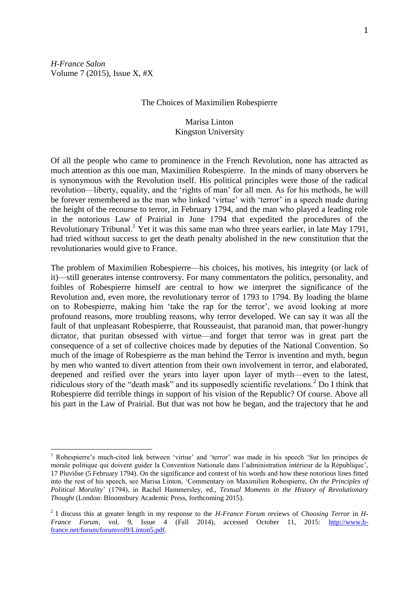*H-France Salon* Volume 7 (2015), Issue X, #X

 $\overline{a}$ 

#### The Choices of Maximilien Robespierre

## Marisa Linton Kingston University

Of all the people who came to prominence in the French Revolution, none has attracted as much attention as this one man, Maximilien Robespierre. In the minds of many observers he is synonymous with the Revolution itself. His political principles were those of the radical revolution—liberty, equality, and the 'rights of man' for all men. As for his methods, he will be forever remembered as the man who linked 'virtue' with 'terror' in a speech made during the height of the recourse to terror, in February 1794, and the man who played a leading role in the notorious Law of Prairial in June 1794 that expedited the procedures of the Revolutionary Tribunal.<sup>1</sup> Yet it was this same man who three years earlier, in late May 1791, had tried without success to get the death penalty abolished in the new constitution that the revolutionaries would give to France.

The problem of Maximilien Robespierre—his choices, his motives, his integrity (or lack of it)—still generates intense controversy. For many commentators the politics, personality, and foibles of Robespierre himself are central to how we interpret the significance of the Revolution and, even more, the revolutionary terror of 1793 to 1794. By loading the blame on to Robespierre, making him 'take the rap for the terror', we avoid looking at more profound reasons, more troubling reasons, why terror developed. We can say it was all the fault of that unpleasant Robespierre, that Rousseauist, that paranoid man, that power-hungry dictator, that puritan obsessed with virtue—and forget that terror was in great part the consequence of a set of collective choices made by deputies of the National Convention. So much of the image of Robespierre as the man behind the Terror is invention and myth, begun by men who wanted to divert attention from their own involvement in terror, and elaborated, deepened and reified over the years into layer upon layer of myth—even to the latest, ridiculous story of the "death mask" and its supposedly scientific revelations.<sup>2</sup> Do I think that Robespierre did terrible things in support of his vision of the Republic? Of course. Above all his part in the Law of Prairial. But that was not how he began, and the trajectory that he and

<sup>1</sup> Robespierre's much-cited link between 'virtue' and 'terror' was made in his speech 'Sur les principes de morale politique qui doivent guider la Convention Nationale dans l'administration intérieur de la République', 17 Pluviôse (5 February 1794). On the significance and context of his words and how these notorious lines fitted into the rest of his speech, see Marisa Linton, 'Commentary on Maximilien Robespierre, *On the Principles of Political Morality*' (1794), in Rachel Hammersley, ed., *Textual Moments in the History of Revolutionary Thought* (London: Bloomsbury Academic Press, forthcoming 2015).

<sup>2</sup> I discuss this at greater length in my response to the *H-France Forum* reviews of *Choosing Terror* in *H-France Forum*, vol. 9, Issue 4 (Fall 2014), accessed October 11, 2015: [http://www.h](http://www.h-france.net/forum/forumvol9/Linton5.pdf)[france.net/forum/forumvol9/Linton5.pdf.](http://www.h-france.net/forum/forumvol9/Linton5.pdf)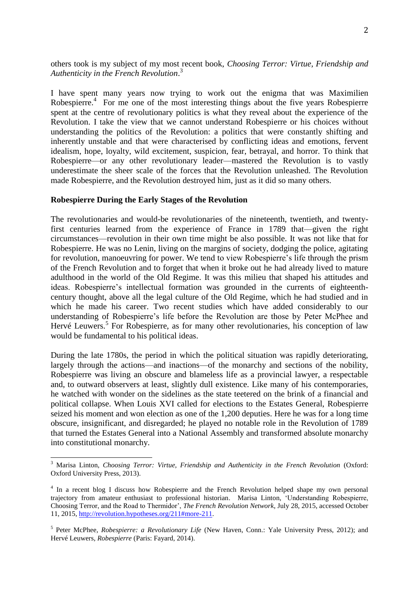others took is my subject of my most recent book, *Choosing Terror: Virtue, Friendship and Authenticity in the French Revolution*. 3

I have spent many years now trying to work out the enigma that was Maximilien Robespierre.<sup>4</sup> For me one of the most interesting things about the five years Robespierre spent at the centre of revolutionary politics is what they reveal about the experience of the Revolution. I take the view that we cannot understand Robespierre or his choices without understanding the politics of the Revolution: a politics that were constantly shifting and inherently unstable and that were characterised by conflicting ideas and emotions, fervent idealism, hope, loyalty, wild excitement, suspicion, fear, betrayal, and horror. To think that Robespierre—or any other revolutionary leader—mastered the Revolution is to vastly underestimate the sheer scale of the forces that the Revolution unleashed. The Revolution made Robespierre, and the Revolution destroyed him, just as it did so many others.

### **Robespierre During the Early Stages of the Revolution**

 $\overline{a}$ 

The revolutionaries and would-be revolutionaries of the nineteenth, twentieth, and twentyfirst centuries learned from the experience of France in 1789 that—given the right circumstances—revolution in their own time might be also possible. It was not like that for Robespierre. He was no Lenin, living on the margins of society, dodging the police, agitating for revolution, manoeuvring for power. We tend to view Robespierre's life through the prism of the French Revolution and to forget that when it broke out he had already lived to mature adulthood in the world of the Old Regime. It was this milieu that shaped his attitudes and ideas. Robespierre's intellectual formation was grounded in the currents of eighteenthcentury thought, above all the legal culture of the Old Regime, which he had studied and in which he made his career. Two recent studies which have added considerably to our understanding of Robespierre's life before the Revolution are those by Peter McPhee and Hervé Leuwers.<sup>5</sup> For Robespierre, as for many other revolutionaries, his conception of law would be fundamental to his political ideas.

During the late 1780s, the period in which the political situation was rapidly deteriorating, largely through the actions—and inactions—of the monarchy and sections of the nobility, Robespierre was living an obscure and blameless life as a provincial lawyer, a respectable and, to outward observers at least, slightly dull existence. Like many of his contemporaries, he watched with wonder on the sidelines as the state teetered on the brink of a financial and political collapse. When Louis XVI called for elections to the Estates General, Robespierre seized his moment and won election as one of the 1,200 deputies. Here he was for a long time obscure, insignificant, and disregarded; he played no notable role in the Revolution of 1789 that turned the Estates General into a National Assembly and transformed absolute monarchy into constitutional monarchy.

<sup>3</sup> Marisa Linton, *Choosing Terror: Virtue, Friendship and Authenticity in the French Revolution* (Oxford: Oxford University Press, 2013).

<sup>&</sup>lt;sup>4</sup> In a recent blog I discuss how Robespierre and the French Revolution helped shape my own personal trajectory from amateur enthusiast to professional historian. Marisa Linton, 'Understanding Robespierre, Choosing Terror, and the Road to Thermidor', *The French Revolution Network*, July 28, 2015, accessed October 11, 2015, [http://revolution.hypotheses.org/211#more-211.](http://revolution.hypotheses.org/211#more-211)

<sup>5</sup> Peter McPhee, *Robespierre: a Revolutionary Life* (New Haven, Conn.: Yale University Press, 2012); and Hervé Leuwers, *Robespierre* (Paris: Fayard, 2014).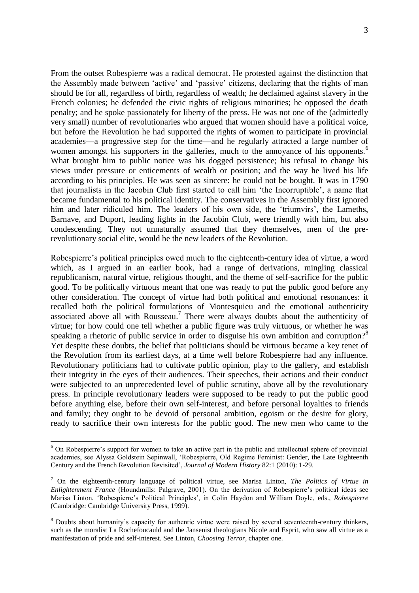From the outset Robespierre was a radical democrat. He protested against the distinction that the Assembly made between 'active' and 'passive' citizens, declaring that the rights of man should be for all, regardless of birth, regardless of wealth; he declaimed against slavery in the French colonies; he defended the civic rights of religious minorities; he opposed the death penalty; and he spoke passionately for liberty of the press. He was not one of the (admittedly very small) number of revolutionaries who argued that women should have a political voice, but before the Revolution he had supported the rights of women to participate in provincial academies—a progressive step for the time—and he regularly attracted a large number of women amongst his supporters in the galleries, much to the annoyance of his opponents.<sup>6</sup> What brought him to public notice was his dogged persistence; his refusal to change his views under pressure or enticements of wealth or position; and the way he lived his life according to his principles. He was seen as sincere: he could not be bought. It was in 1790 that journalists in the Jacobin Club first started to call him 'the Incorruptible', a name that became fundamental to his political identity. The conservatives in the Assembly first ignored him and later ridiculed him. The leaders of his own side, the 'triumvirs', the Lameths, Barnave, and Duport, leading lights in the Jacobin Club, were friendly with him, but also condescending. They not unnaturally assumed that they themselves, men of the prerevolutionary social elite, would be the new leaders of the Revolution.

Robespierre's political principles owed much to the eighteenth-century idea of virtue, a word which, as I argued in an earlier book, had a range of derivations, mingling classical republicanism, natural virtue, religious thought, and the theme of self-sacrifice for the public good. To be politically virtuous meant that one was ready to put the public good before any other consideration. The concept of virtue had both political and emotional resonances: it recalled both the political formulations of Montesquieu and the emotional authenticity associated above all with Rousseau.<sup>7</sup> There were always doubts about the authenticity of virtue; for how could one tell whether a public figure was truly virtuous, or whether he was speaking a rhetoric of public service in order to disguise his own ambition and corruption?<sup>8</sup> Yet despite these doubts, the belief that politicians should be virtuous became a key tenet of the Revolution from its earliest days, at a time well before Robespierre had any influence. Revolutionary politicians had to cultivate public opinion, play to the gallery, and establish their integrity in the eyes of their audiences. Their speeches, their actions and their conduct were subjected to an unprecedented level of public scrutiny, above all by the revolutionary press. In principle revolutionary leaders were supposed to be ready to put the public good before anything else, before their own self-interest, and before personal loyalties to friends and family; they ought to be devoid of personal ambition, egoism or the desire for glory, ready to sacrifice their own interests for the public good. The new men who came to the

<sup>&</sup>lt;sup>6</sup> On Robespierre's support for women to take an active part in the public and intellectual sphere of provincial academies, see Alyssa Goldstein Sepinwall, 'Robespierre, Old Regime Feminist: Gender, the Late Eighteenth Century and the French Revolution Revisited', *Journal of Modern History* 82:1 (2010): 1-29.

<sup>7</sup> On the eighteenth-century language of political virtue, see Marisa Linton, *The Politics of Virtue in Enlightenment France* (Houndmills: Palgrave, 2001). On the derivation of Robespierre's political ideas see Marisa Linton, 'Robespierre's Political Principles', in Colin Haydon and William Doyle, eds., *Robespierre* (Cambridge: Cambridge University Press, 1999).

<sup>&</sup>lt;sup>8</sup> Doubts about humanity's capacity for authentic virtue were raised by several seventeenth-century thinkers, such as the moralist La Rochefoucauld and the Jansenist theologians Nicole and Esprit, who saw all virtue as a manifestation of pride and self-interest. See Linton, *Choosing Terror*, chapter one.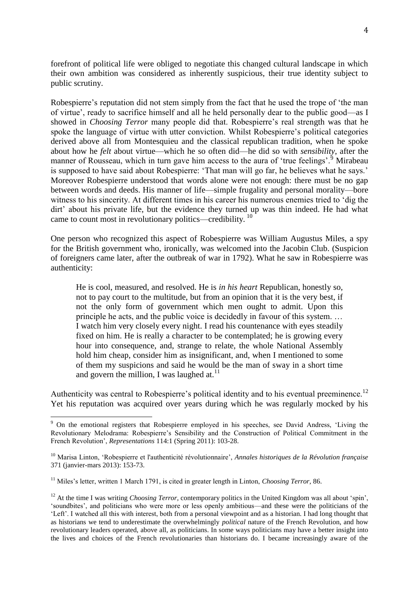forefront of political life were obliged to negotiate this changed cultural landscape in which their own ambition was considered as inherently suspicious, their true identity subject to public scrutiny.

Robespierre's reputation did not stem simply from the fact that he used the trope of 'the man of virtue', ready to sacrifice himself and all he held personally dear to the public good—as I showed in *Choosing Terror* many people did that. Robespierre's real strength was that he spoke the language of virtue with utter conviction. Whilst Robespierre's political categories derived above all from Montesquieu and the classical republican tradition, when he spoke about how he *felt* about virtue—which he so often did—he did so with *sensibility*, after the manner of Rousseau, which in turn gave him access to the aura of 'true feelings'.<sup>9</sup> Mirabeau is supposed to have said about Robespierre: 'That man will go far, he believes what he says.' Moreover Robespierre understood that words alone were not enough: there must be no gap between words and deeds. His manner of life—simple frugality and personal morality—bore witness to his sincerity. At different times in his career his numerous enemies tried to 'dig the dirt' about his private life, but the evidence they turned up was thin indeed. He had what came to count most in revolutionary politics—credibility.<sup>10</sup>

One person who recognized this aspect of Robespierre was William Augustus Miles, a spy for the British government who, ironically, was welcomed into the Jacobin Club. (Suspicion of foreigners came later, after the outbreak of war in 1792). What he saw in Robespierre was authenticity:

He is cool, measured, and resolved. He is *in his heart* Republican, honestly so, not to pay court to the multitude, but from an opinion that it is the very best, if not the only form of government which men ought to admit. Upon this principle he acts, and the public voice is decidedly in favour of this system. … I watch him very closely every night. I read his countenance with eyes steadily fixed on him. He is really a character to be contemplated; he is growing every hour into consequence, and, strange to relate, the whole National Assembly hold him cheap, consider him as insignificant, and, when I mentioned to some of them my suspicions and said he would be the man of sway in a short time and govern the million, I was laughed at. $^{11}$ 

Authenticity was central to Robespierre's political identity and to his eventual preeminence.<sup>12</sup> Yet his reputation was acquired over years during which he was regularly mocked by his

<sup>&</sup>lt;sup>9</sup> On the emotional registers that Robespierre employed in his speeches, see David Andress, 'Living the Revolutionary Melodrama: Robespierre's Sensibility and the Construction of Political Commitment in the French Revolution', *Representations* 114:1 (Spring 2011): 103-28.

<sup>10</sup> Marisa Linton, 'Robespierre et l'authenticité révolutionnaire', *Annales historiques de la Révolution française* 371 (janvier-mars 2013): 153-73.

<sup>&</sup>lt;sup>11</sup> Miles's letter, written 1 March 1791, is cited in greater length in Linton, *Choosing Terror*, 86.

<sup>&</sup>lt;sup>12</sup> At the time I was writing *Choosing Terror*, contemporary politics in the United Kingdom was all about 'spin', 'soundbites', and politicians who were more or less openly ambitious—and these were the politicians of the 'Left'. I watched all this with interest, both from a personal viewpoint and as a historian. I had long thought that as historians we tend to underestimate the overwhelmingly *political* nature of the French Revolution, and how revolutionary leaders operated, above all, as politicians. In some ways politicians may have a better insight into the lives and choices of the French revolutionaries than historians do. I became increasingly aware of the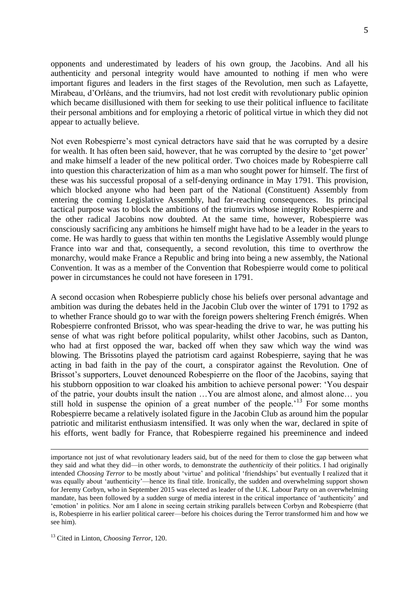opponents and underestimated by leaders of his own group, the Jacobins. And all his authenticity and personal integrity would have amounted to nothing if men who were important figures and leaders in the first stages of the Revolution, men such as Lafayette, Mirabeau, d'Orléans, and the triumvirs, had not lost credit with revolutionary public opinion which became disillusioned with them for seeking to use their political influence to facilitate their personal ambitions and for employing a rhetoric of political virtue in which they did not appear to actually believe.

Not even Robespierre's most cynical detractors have said that he was corrupted by a desire for wealth. It has often been said, however, that he was corrupted by the desire to 'get power' and make himself a leader of the new political order. Two choices made by Robespierre call into question this characterization of him as a man who sought power for himself. The first of these was his successful proposal of a self-denying ordinance in May 1791. This provision, which blocked anyone who had been part of the National (Constituent) Assembly from entering the coming Legislative Assembly, had far-reaching consequences. Its principal tactical purpose was to block the ambitions of the triumvirs whose integrity Robespierre and the other radical Jacobins now doubted. At the same time, however, Robespierre was consciously sacrificing any ambitions he himself might have had to be a leader in the years to come. He was hardly to guess that within ten months the Legislative Assembly would plunge France into war and that, consequently, a second revolution, this time to overthrow the monarchy, would make France a Republic and bring into being a new assembly, the National Convention. It was as a member of the Convention that Robespierre would come to political power in circumstances he could not have foreseen in 1791.

A second occasion when Robespierre publicly chose his beliefs over personal advantage and ambition was during the debates held in the Jacobin Club over the winter of 1791 to 1792 as to whether France should go to war with the foreign powers sheltering French émigrés. When Robespierre confronted Brissot, who was spear-heading the drive to war, he was putting his sense of what was right before political popularity, whilst other Jacobins, such as Danton, who had at first opposed the war, backed off when they saw which way the wind was blowing. The Brissotins played the patriotism card against Robespierre, saying that he was acting in bad faith in the pay of the court, a conspirator against the Revolution. One of Brissot's supporters, Louvet denounced Robespierre on the floor of the Jacobins, saying that his stubborn opposition to war cloaked his ambition to achieve personal power: 'You despair of the patrie, your doubts insult the nation …You are almost alone, and almost alone… you still hold in suspense the opinion of a great number of the people.<sup> $13$ </sup> For some months Robespierre became a relatively isolated figure in the Jacobin Club as around him the popular patriotic and militarist enthusiasm intensified. It was only when the war, declared in spite of his efforts, went badly for France, that Robespierre regained his preeminence and indeed

importance not just of what revolutionary leaders said, but of the need for them to close the gap between what they said and what they did—in other words, to demonstrate the *authenticity* of their politics. I had originally intended *Choosing Terror* to be mostly about 'virtue' and political 'friendships' but eventually I realized that it was equally about 'authenticity'—hence its final title. Ironically, the sudden and overwhelming support shown for Jeremy Corbyn, who in September 2015 was elected as leader of the U.K. Labour Party on an overwhelming mandate, has been followed by a sudden surge of media interest in the critical importance of 'authenticity' and 'emotion' in politics. Nor am I alone in seeing certain striking parallels between Corbyn and Robespierre (that is, Robespierre in his earlier political career—before his choices during the Terror transformed him and how we see him).

<sup>13</sup> Cited in Linton, *Choosing Terror*, 120.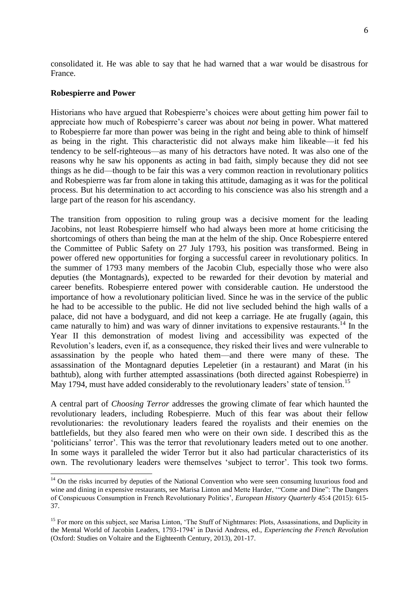consolidated it. He was able to say that he had warned that a war would be disastrous for France.

### **Robespierre and Power**

 $\overline{a}$ 

Historians who have argued that Robespierre's choices were about getting him power fail to appreciate how much of Robespierre's career was about *not* being in power. What mattered to Robespierre far more than power was being in the right and being able to think of himself as being in the right. This characteristic did not always make him likeable—it fed his tendency to be self-righteous—as many of his detractors have noted. It was also one of the reasons why he saw his opponents as acting in bad faith, simply because they did not see things as he did—though to be fair this was a very common reaction in revolutionary politics and Robespierre was far from alone in taking this attitude, damaging as it was for the political process. But his determination to act according to his conscience was also his strength and a large part of the reason for his ascendancy.

The transition from opposition to ruling group was a decisive moment for the leading Jacobins, not least Robespierre himself who had always been more at home criticising the shortcomings of others than being the man at the helm of the ship. Once Robespierre entered the Committee of Public Safety on 27 July 1793, his position was transformed. Being in power offered new opportunities for forging a successful career in revolutionary politics. In the summer of 1793 many members of the Jacobin Club, especially those who were also deputies (the Montagnards), expected to be rewarded for their devotion by material and career benefits. Robespierre entered power with considerable caution. He understood the importance of how a revolutionary politician lived. Since he was in the service of the public he had to be accessible to the public. He did not live secluded behind the high walls of a palace, did not have a bodyguard, and did not keep a carriage. He ate frugally (again, this came naturally to him) and was wary of dinner invitations to expensive restaurants.<sup>14</sup> In the Year II this demonstration of modest living and accessibility was expected of the Revolution's leaders, even if, as a consequence, they risked their lives and were vulnerable to assassination by the people who hated them—and there were many of these. The assassination of the Montagnard deputies Lepeletier (in a restaurant) and Marat (in his bathtub), along with further attempted assassinations (both directed against Robespierre) in May 1794, must have added considerably to the revolutionary leaders' state of tension.<sup>15</sup>

A central part of *Choosing Terror* addresses the growing climate of fear which haunted the revolutionary leaders, including Robespierre. Much of this fear was about their fellow revolutionaries: the revolutionary leaders feared the royalists and their enemies on the battlefields, but they also feared men who were on their own side. I described this as the 'politicians' terror'. This was the terror that revolutionary leaders meted out to one another. In some ways it paralleled the wider Terror but it also had particular characteristics of its own. The revolutionary leaders were themselves 'subject to terror'. This took two forms.

<sup>&</sup>lt;sup>14</sup> On the risks incurred by deputies of the National Convention who were seen consuming luxurious food and wine and dining in expensive restaurants, see Marisa Linton and Mette Harder, "Come and Dine": The Dangers of Conspicuous Consumption in French Revolutionary Politics', *European History Quarterly* 45:4 (2015): 615- 37.

<sup>&</sup>lt;sup>15</sup> For more on this subject, see Marisa Linton, 'The Stuff of Nightmares: Plots, Assassinations, and Duplicity in the Mental World of Jacobin Leaders, 1793-1794' in David Andress, ed., *Experiencing the French Revolution*  (Oxford: Studies on Voltaire and the Eighteenth Century, 2013), 201-17.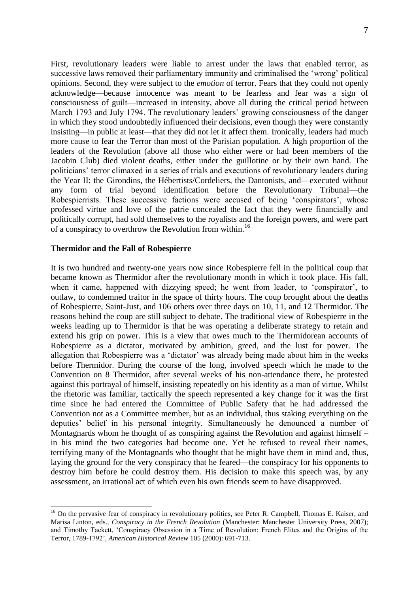First, revolutionary leaders were liable to arrest under the laws that enabled terror, as successive laws removed their parliamentary immunity and criminalised the 'wrong' political opinions. Second, they were subject to the *emotion* of terror. Fears that they could not openly acknowledge—because innocence was meant to be fearless and fear was a sign of consciousness of guilt—increased in intensity, above all during the critical period between March 1793 and July 1794. The revolutionary leaders' growing consciousness of the danger in which they stood undoubtedly influenced their decisions, even though they were constantly insisting—in public at least—that they did not let it affect them. Ironically, leaders had much more cause to fear the Terror than most of the Parisian population. A high proportion of the leaders of the Revolution (above all those who either were or had been members of the Jacobin Club) died violent deaths, either under the guillotine or by their own hand. The politicians' terror climaxed in a series of trials and executions of revolutionary leaders during the Year II: the Girondins, the Hébertists/Cordeliers, the Dantonists, and—executed without any form of trial beyond identification before the Revolutionary Tribunal—the Robespierrists. These successive factions were accused of being 'conspirators', whose professed virtue and love of the patrie concealed the fact that they were financially and politically corrupt, had sold themselves to the royalists and the foreign powers, and were part of a conspiracy to overthrow the Revolution from within.<sup>16</sup>

# **Thermidor and the Fall of Robespierre**

 $\overline{a}$ 

It is two hundred and twenty-one years now since Robespierre fell in the political coup that became known as Thermidor after the revolutionary month in which it took place. His fall, when it came, happened with dizzying speed; he went from leader, to 'conspirator', to outlaw, to condemned traitor in the space of thirty hours. The coup brought about the deaths of Robespierre, Saint-Just, and 106 others over three days on 10, 11, and 12 Thermidor. The reasons behind the coup are still subject to debate. The traditional view of Robespierre in the weeks leading up to Thermidor is that he was operating a deliberate strategy to retain and extend his grip on power. This is a view that owes much to the Thermidorean accounts of Robespierre as a dictator, motivated by ambition, greed, and the lust for power. The allegation that Robespierre was a 'dictator' was already being made about him in the weeks before Thermidor. During the course of the long, involved speech which he made to the Convention on 8 Thermidor, after several weeks of his non-attendance there, he protested against this portrayal of himself, insisting repeatedly on his identity as a man of virtue. Whilst the rhetoric was familiar, tactically the speech represented a key change for it was the first time since he had entered the Committee of Public Safety that he had addressed the Convention not as a Committee member, but as an individual, thus staking everything on the deputies' belief in his personal integrity. Simultaneously he denounced a number of Montagnards whom he thought of as conspiring against the Revolution and against himself – in his mind the two categories had become one. Yet he refused to reveal their names, terrifying many of the Montagnards who thought that he might have them in mind and, thus, laying the ground for the very conspiracy that he feared—the conspiracy for his opponents to destroy him before he could destroy them. His decision to make this speech was, by any assessment, an irrational act of which even his own friends seem to have disapproved.

<sup>&</sup>lt;sup>16</sup> On the pervasive fear of conspiracy in revolutionary politics, see Peter R. Campbell, Thomas E. Kaiser, and Marisa Linton, eds., *Conspiracy in the French Revolution* (Manchester: Manchester University Press, 2007); and Timothy Tackett, 'Conspiracy Obsession in a Time of Revolution: French Elites and the Origins of the Terror, 1789-1792', *American Historical Review* 105 (2000): 691-713.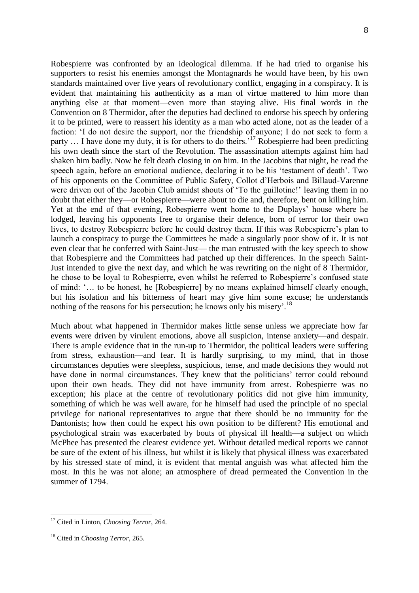Robespierre was confronted by an ideological dilemma. If he had tried to organise his supporters to resist his enemies amongst the Montagnards he would have been, by his own standards maintained over five years of revolutionary conflict, engaging in a conspiracy. It is evident that maintaining his authenticity as a man of virtue mattered to him more than anything else at that moment—even more than staying alive. His final words in the Convention on 8 Thermidor, after the deputies had declined to endorse his speech by ordering it to be printed, were to reassert his identity as a man who acted alone, not as the leader of a faction: 'I do not desire the support, nor the friendship of anyone; I do not seek to form a party  $\ldots$  I have done my duty, it is for others to do theirs.<sup>17</sup> Robespierre had been predicting his own death since the start of the Revolution. The assassination attempts against him had shaken him badly. Now he felt death closing in on him. In the Jacobins that night, he read the speech again, before an emotional audience, declaring it to be his 'testament of death'. Two of his opponents on the Committee of Public Safety, Collot d'Herbois and Billaud-Varenne were driven out of the Jacobin Club amidst shouts of 'To the guillotine!' leaving them in no doubt that either they—or Robespierre—were about to die and, therefore, bent on killing him. Yet at the end of that evening, Robespierre went home to the Duplays' house where he lodged, leaving his opponents free to organise their defence, born of terror for their own lives, to destroy Robespierre before he could destroy them. If this was Robespierre's plan to launch a conspiracy to purge the Committees he made a singularly poor show of it. It is not even clear that he conferred with Saint-Just— the man entrusted with the key speech to show that Robespierre and the Committees had patched up their differences. In the speech Saint-Just intended to give the next day, and which he was rewriting on the night of 8 Thermidor, he chose to be loyal to Robespierre, even whilst he referred to Robespierre's confused state of mind: '… to be honest, he [Robespierre] by no means explained himself clearly enough, but his isolation and his bitterness of heart may give him some excuse; he understands nothing of the reasons for his persecution; he knows only his misery'.<sup>18</sup>

Much about what happened in Thermidor makes little sense unless we appreciate how far events were driven by virulent emotions, above all suspicion, intense anxiety—and despair. There is ample evidence that in the run-up to Thermidor, the political leaders were suffering from stress, exhaustion—and fear. It is hardly surprising, to my mind, that in those circumstances deputies were sleepless, suspicious, tense, and made decisions they would not have done in normal circumstances. They knew that the politicians' terror could rebound upon their own heads. They did not have immunity from arrest. Robespierre was no exception; his place at the centre of revolutionary politics did not give him immunity, something of which he was well aware, for he himself had used the principle of no special privilege for national representatives to argue that there should be no immunity for the Dantonists; how then could he expect his own position to be different? His emotional and psychological strain was exacerbated by bouts of physical ill health—a subject on which McPhee has presented the clearest evidence yet. Without detailed medical reports we cannot be sure of the extent of his illness, but whilst it is likely that physical illness was exacerbated by his stressed state of mind, it is evident that mental anguish was what affected him the most. In this he was not alone; an atmosphere of dread permeated the Convention in the summer of 1794.

<sup>17</sup> Cited in Linton, *Choosing Terror*, 264.

<sup>18</sup> Cited in *Choosing Terror*, 265.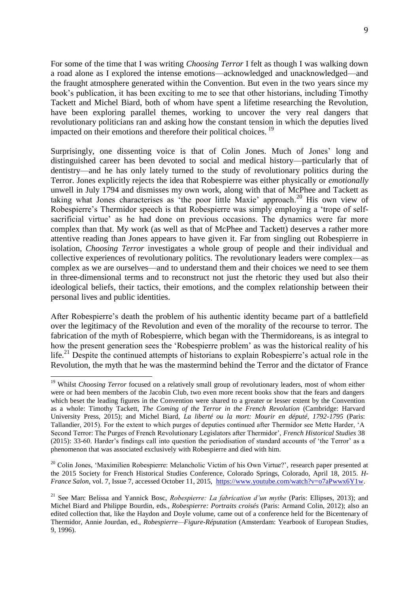For some of the time that I was writing *Choosing Terror* I felt as though I was walking down a road alone as I explored the intense emotions—acknowledged and unacknowledged—and the fraught atmosphere generated within the Convention. But even in the two years since my book's publication, it has been exciting to me to see that other historians, including Timothy Tackett and Michel Biard, both of whom have spent a lifetime researching the Revolution, have been exploring parallel themes, working to uncover the very real dangers that revolutionary politicians ran and asking how the constant tension in which the deputies lived impacted on their emotions and therefore their political choices.<sup>19</sup>

Surprisingly, one dissenting voice is that of Colin Jones. Much of Jones' long and distinguished career has been devoted to social and medical history—particularly that of dentistry—and he has only lately turned to the study of revolutionary politics during the Terror. Jones explicitly rejects the idea that Robespierre was either physically or *emotionally*  unwell in July 1794 and dismisses my own work, along with that of McPhee and Tackett as taking what Jones characterises as 'the poor little Maxie' approach.<sup>20</sup> His own view of Robespierre's Thermidor speech is that Robespierre was simply employing a 'trope of selfsacrificial virtue' as he had done on previous occasions. The dynamics were far more complex than that. My work (as well as that of McPhee and Tackett) deserves a rather more attentive reading than Jones appears to have given it. Far from singling out Robespierre in isolation, *Choosing Terror* investigates a whole group of people and their individual and collective experiences of revolutionary politics. The revolutionary leaders were complex—as complex as we are ourselves—and to understand them and their choices we need to see them in three-dimensional terms and to reconstruct not just the rhetoric they used but also their ideological beliefs, their tactics, their emotions, and the complex relationship between their personal lives and public identities.

After Robespierre's death the problem of his authentic identity became part of a battlefield over the legitimacy of the Revolution and even of the morality of the recourse to terror. The fabrication of the myth of Robespierre, which began with the Thermidoreans, is as integral to how the present generation sees the 'Robespierre problem' as was the historical reality of his life.<sup>21</sup> Despite the continued attempts of historians to explain Robespierre's actual role in the Revolution, the myth that he was the mastermind behind the Terror and the dictator of France

 $\overline{a}$ 

<sup>20</sup> Colin Jones, 'Maximilien Robespierre: Melancholic Victim of his Own Virtue?', research paper presented at the 2015 Society for French Historical Studies Conference, Colorado Springs, Colorado, April 18, 2015. *H-France Salon*, vol. 7, Issue 7, accessed October 11, 2015, [https://www.youtube.com/watch?v=o7aPwwx6Y1w.](https://www.youtube.com/watch?v=o7aPwwx6Y1w)

<sup>&</sup>lt;sup>19</sup> Whilst *Choosing Terror* focused on a relatively small group of revolutionary leaders, most of whom either were or had been members of the Jacobin Club, two even more recent books show that the fears and dangers which beset the leading figures in the Convention were shared to a greater or lesser extent by the Convention as a whole: Timothy Tackett, *The Coming of the Terror in the French Revolution* (Cambridge: Harvard University Press, 2015); and Michel Biard, *La liberté ou la mort: Mourir en député, 1792-1795* (Paris: Tallandier, 2015). For the extent to which purges of deputies continued after Thermidor see Mette Harder, 'A Second Terror: The Purges of French Revolutionary Legislators after Thermidor', *French Historical Studies* 38 (2015): 33-60. Harder's findings call into question the periodisation of standard accounts of 'the Terror' as a phenomenon that was associated exclusively with Robespierre and died with him.

<sup>21</sup> See Marc Belissa and Yannick Bosc, *Robespierre: La fabrication d'un mythe* (Paris: Ellipses, 2013); and Michel Biard and Philippe Bourdin, eds., *Robespierre: Portraits croisés* (Paris: Armand Colin, 2012); also an edited collection that, like the Haydon and Doyle volume, came out of a conference held for the Bicentenary of Thermidor, Annie Jourdan, ed., *Robespierre—Figure-Réputation* (Amsterdam: Yearbook of European Studies, 9, 1996).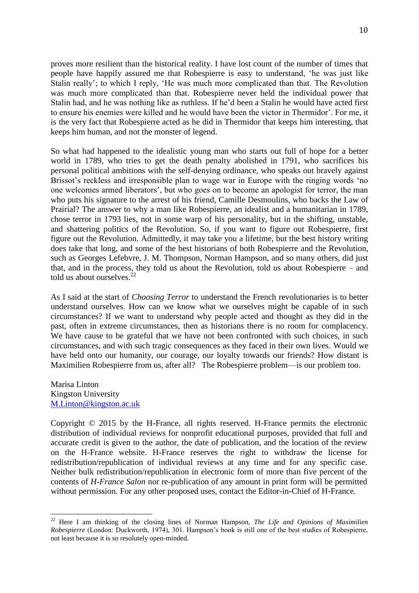proves more resilient than the historical reality. I have lost count of the number of times that people have happily assured me that Robespierre is easy to understand, 'he was just like Stalin really'; to which I reply, 'He was much more complicated than that. The Revolution was much more complicated than that. Robespierre never held the individual power that Stalin had, and he was nothing like as ruthless. If he'd been a Stalin he would have acted first to ensure his enemies were killed and he would have been the victor in Thermidor'. For me, it is the very fact that Robespierre acted as he did in Thermidor that keeps him interesting, that keeps him human, and not the monster of legend.

So what had happened to the idealistic young man who starts out full of hope for a better world in 1789, who tries to get the death penalty abolished in 1791, who sacrifices his personal political ambitions with the self-denying ordinance, who speaks out bravely against Brissot's reckless and irresponsible plan to wage war in Europe with the ringing words 'no one welcomes armed liberators', but who goes on to become an apologist for terror, the man who puts his signature to the arrest of his friend, Camille Desmoulins, who backs the Law of Prairial? The answer to why a man like Robespierre, an idealist and a humanitarian in 1789, chose terror in 1793 lies, not in some warp of his personality, but in the shifting, unstable, and shattering politics of the Revolution. So, if you want to figure out Robespierre, first figure out the Revolution. Admittedly, it may take you a lifetime, but the best history writing does take that long, and some of the best historians of both Robespierre and the Revolution, such as Georges Lefebvre, J. M. Thompson, Norman Hampson, and so many others, did just that, and in the process, they told us about the Revolution, told us about Robespierre – and told us about ourselves. $^{22}$ 

As I said at the start of *Choosing Terror* to understand the French revolutionaries is to better understand ourselves. How can we know what we ourselves might be capable of in such circumstances? If we want to understand why people acted and thought as they did in the past, often in extreme circumstances, then as historians there is no room for complacency. We have cause to be grateful that we have not been confronted with such choices, in such circumstances, and with such tragic consequences as they faced in their own lives. Would we have held onto our humanity, our courage, our loyalty towards our friends? How distant is Maximilien Robespierre from us, after all? The Robespierre problem—is our problem too.

Marisa Linton Kingston University [M.Linton@kingston.ac.uk](mailto:M.Linton@kingston.ac.uk)

 $\overline{a}$ 

Copyright © 2015 by the H-France, all rights reserved. H-France permits the electronic distribution of individual reviews for nonprofit educational purposes, provided that full and accurate credit is given to the author, the date of publication, and the location of the review on the H-France website. H-France reserves the right to withdraw the license for redistribution/republication of individual reviews at any time and for any specific case. Neither bulk redistribution/republication in electronic form of more than five percent of the contents of *H-France Salon* nor re-publication of any amount in print form will be permitted without permission. For any other proposed uses, contact the Editor-in-Chief of H-France.

<sup>22</sup> Here I am thinking of the closing lines of Norman Hampson, *The Life and Opinions of Maximilien Robespierre* (London: Duckworth, 1974), 301. Hampson's book is still one of the best studies of Robespierre, not least because it is so resolutely open-minded.